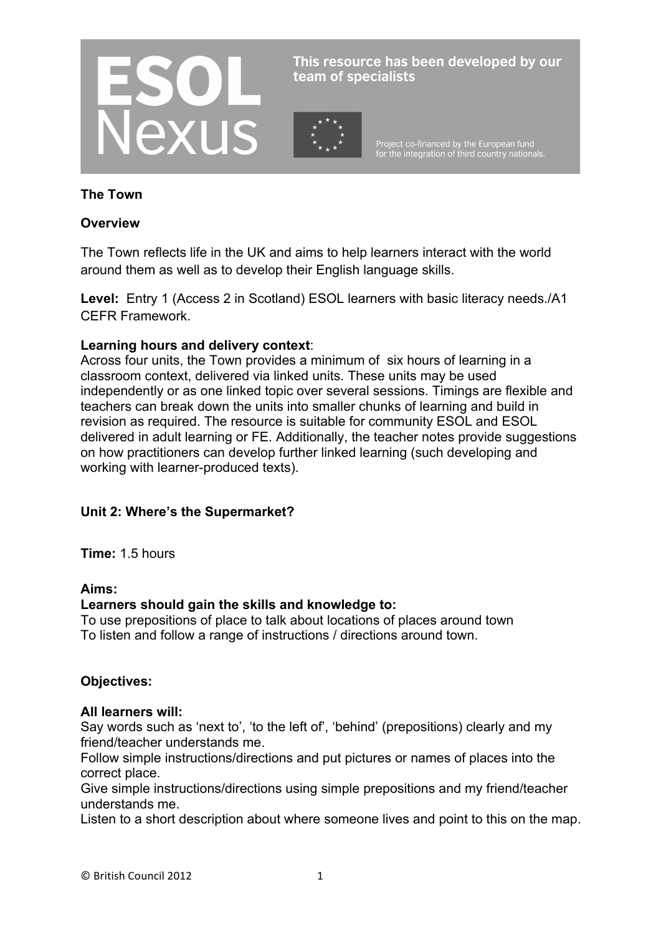

This resource has been developed by our team of specialists

Project co-financed by the European fund<br>for the integration of third country nationals.

### **The Town**

#### **Overview**

The Town reflects life in the UK and aims to help learners interact with the world around them as well as to develop their English language skills.

**Level:** Entry 1 (Access 2 in Scotland) ESOL learners with basic literacy needs./A1 CEFR Framework.

#### **Learning hours and delivery context**:

Across four units, the Town provides a minimum of six hours of learning in a classroom context, delivered via linked units. These units may be used independently or as one linked topic over several sessions. Timings are flexible and teachers can break down the units into smaller chunks of learning and build in revision as required. The resource is suitable for community ESOL and ESOL delivered in adult learning or FE. Additionally, the teacher notes provide suggestions on how practitioners can develop further linked learning (such developing and working with learner-produced texts).

### **Unit 2: Where's the Supermarket?**

**Time:** 1.5 hours

#### **Aims:**

#### **Learners should gain the skills and knowledge to:**

To use prepositions of place to talk about locations of places around town To listen and follow a range of instructions / directions around town.

#### **Objectives:**

#### **All learners will:**

Say words such as 'next to', 'to the left of', 'behind' (prepositions) clearly and my friend/teacher understands me.

Follow simple instructions/directions and put pictures or names of places into the correct place.

Give simple instructions/directions using simple prepositions and my friend/teacher understands me.

Listen to a short description about where someone lives and point to this on the map.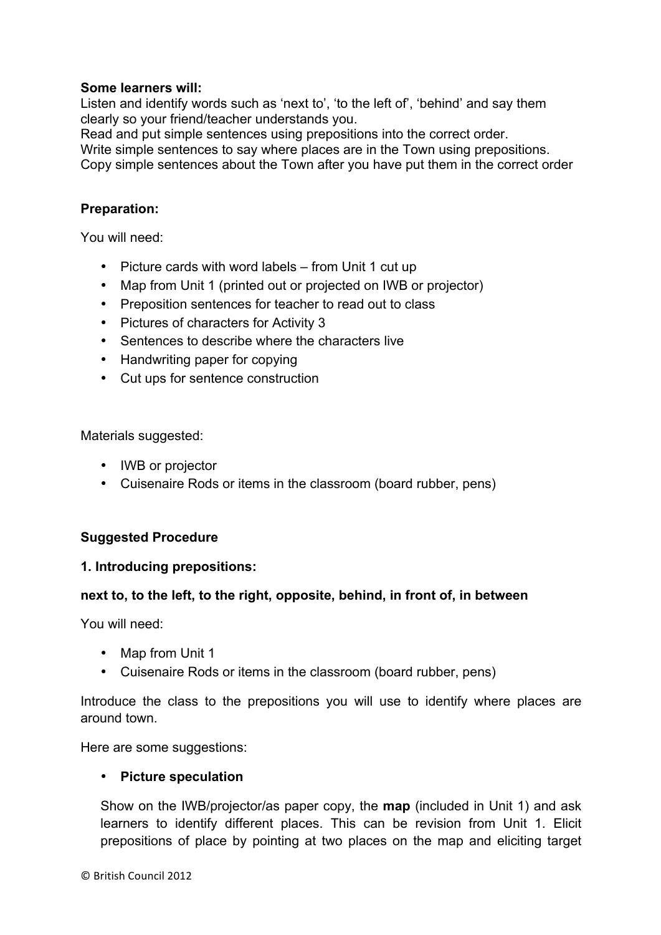### **Some learners will:**

Listen and identify words such as 'next to', 'to the left of', 'behind' and say them clearly so your friend/teacher understands you.

Read and put simple sentences using prepositions into the correct order.

Write simple sentences to say where places are in the Town using prepositions. Copy simple sentences about the Town after you have put them in the correct order

#### **Preparation:**

You will need:

- Picture cards with word labels from Unit 1 cut up
- Map from Unit 1 (printed out or projected on IWB or projector)
- Preposition sentences for teacher to read out to class
- Pictures of characters for Activity 3
- Sentences to describe where the characters live
- Handwriting paper for copying
- Cut ups for sentence construction

Materials suggested:

- IWB or projector
- Cuisenaire Rods or items in the classroom (board rubber, pens)

### **Suggested Procedure**

### **1. Introducing prepositions:**

### **next to, to the left, to the right, opposite, behind, in front of, in between**

You will need:

- Map from Unit 1
- Cuisenaire Rods or items in the classroom (board rubber, pens)

Introduce the class to the prepositions you will use to identify where places are around town.

Here are some suggestions:

### • **Picture speculation**

Show on the IWB/projector/as paper copy, the **map** (included in Unit 1) and ask learners to identify different places. This can be revision from Unit 1. Elicit prepositions of place by pointing at two places on the map and eliciting target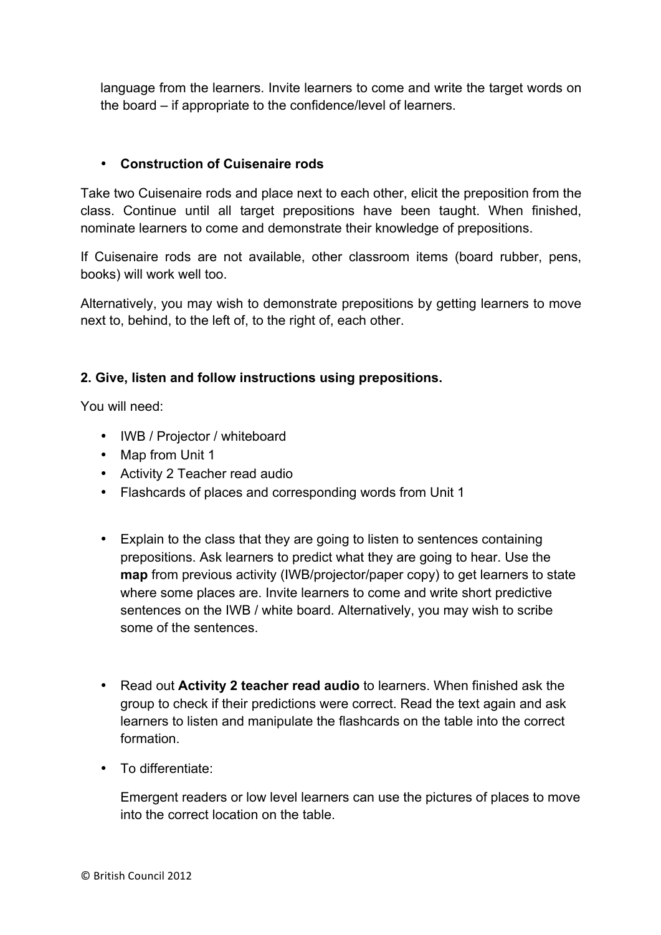language from the learners. Invite learners to come and write the target words on the board – if appropriate to the confidence/level of learners.

## • **Construction of Cuisenaire rods**

Take two Cuisenaire rods and place next to each other, elicit the preposition from the class. Continue until all target prepositions have been taught. When finished, nominate learners to come and demonstrate their knowledge of prepositions.

If Cuisenaire rods are not available, other classroom items (board rubber, pens, books) will work well too.

Alternatively, you may wish to demonstrate prepositions by getting learners to move next to, behind, to the left of, to the right of, each other.

## **2. Give, listen and follow instructions using prepositions.**

You will need:

- IWB / Projector / whiteboard
- Map from Unit 1
- Activity 2 Teacher read audio
- Flashcards of places and corresponding words from Unit 1
- Explain to the class that they are going to listen to sentences containing prepositions. Ask learners to predict what they are going to hear. Use the **map** from previous activity (IWB/projector/paper copy) to get learners to state where some places are. Invite learners to come and write short predictive sentences on the IWB / white board. Alternatively, you may wish to scribe some of the sentences.
- Read out **Activity 2 teacher read audio** to learners. When finished ask the group to check if their predictions were correct. Read the text again and ask learners to listen and manipulate the flashcards on the table into the correct formation.
- To differentiate:

Emergent readers or low level learners can use the pictures of places to move into the correct location on the table.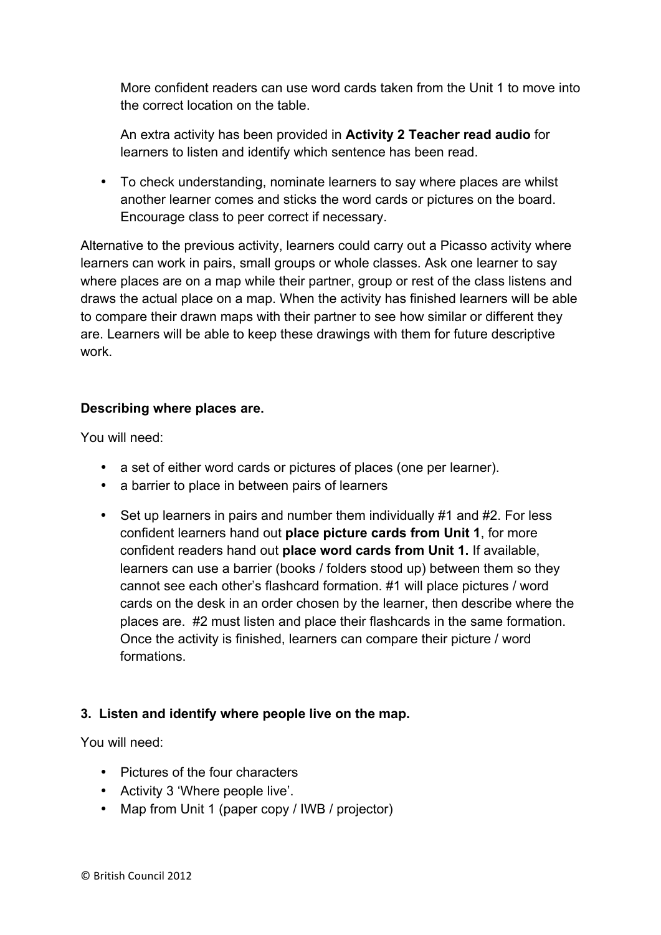More confident readers can use word cards taken from the Unit 1 to move into the correct location on the table.

An extra activity has been provided in **Activity 2 Teacher read audio** for learners to listen and identify which sentence has been read.

• To check understanding, nominate learners to say where places are whilst another learner comes and sticks the word cards or pictures on the board. Encourage class to peer correct if necessary.

Alternative to the previous activity, learners could carry out a Picasso activity where learners can work in pairs, small groups or whole classes. Ask one learner to say where places are on a map while their partner, group or rest of the class listens and draws the actual place on a map. When the activity has finished learners will be able to compare their drawn maps with their partner to see how similar or different they are. Learners will be able to keep these drawings with them for future descriptive work.

# **Describing where places are.**

You will need:

- a set of either word cards or pictures of places (one per learner).
- a barrier to place in between pairs of learners
- Set up learners in pairs and number them individually #1 and #2. For less confident learners hand out **place picture cards from Unit 1**, for more confident readers hand out **place word cards from Unit 1.** If available, learners can use a barrier (books / folders stood up) between them so they cannot see each other's flashcard formation. #1 will place pictures / word cards on the desk in an order chosen by the learner, then describe where the places are. #2 must listen and place their flashcards in the same formation. Once the activity is finished, learners can compare their picture / word formations.

# **3. Listen and identify where people live on the map.**

You will need:

- Pictures of the four characters
- Activity 3 'Where people live'.
- Map from Unit 1 (paper copy / IWB / projector)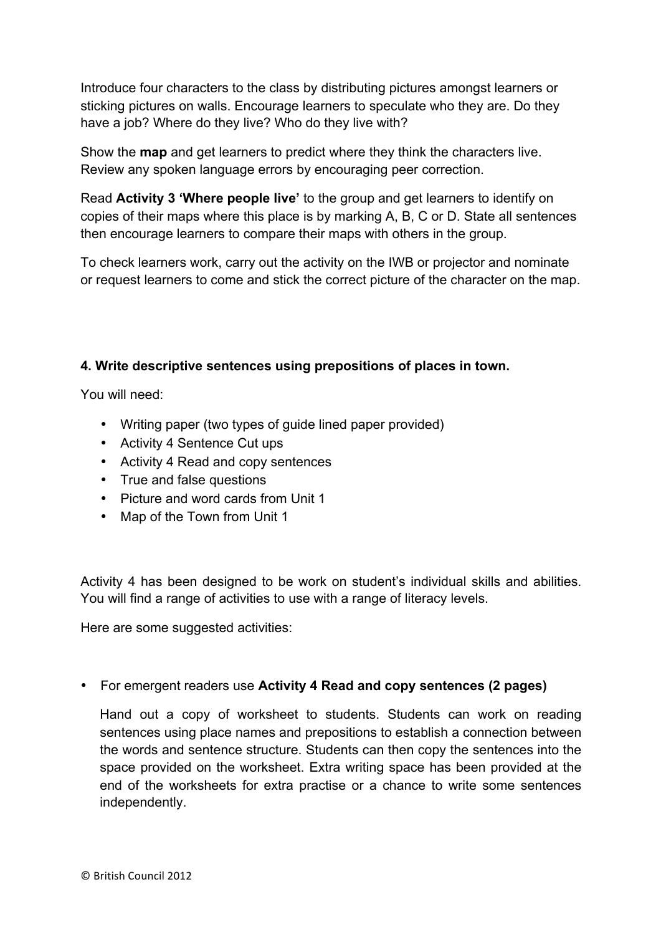Introduce four characters to the class by distributing pictures amongst learners or sticking pictures on walls. Encourage learners to speculate who they are. Do they have a job? Where do they live? Who do they live with?

Show the **map** and get learners to predict where they think the characters live. Review any spoken language errors by encouraging peer correction.

Read **Activity 3 'Where people live'** to the group and get learners to identify on copies of their maps where this place is by marking A, B, C or D. State all sentences then encourage learners to compare their maps with others in the group.

To check learners work, carry out the activity on the IWB or projector and nominate or request learners to come and stick the correct picture of the character on the map.

# **4. Write descriptive sentences using prepositions of places in town.**

You will need:

- Writing paper (two types of guide lined paper provided)
- Activity 4 Sentence Cut ups
- Activity 4 Read and copy sentences
- True and false questions
- Picture and word cards from Unit 1
- Map of the Town from Unit 1

Activity 4 has been designed to be work on student's individual skills and abilities. You will find a range of activities to use with a range of literacy levels.

Here are some suggested activities:

• For emergent readers use **Activity 4 Read and copy sentences (2 pages)**

Hand out a copy of worksheet to students. Students can work on reading sentences using place names and prepositions to establish a connection between the words and sentence structure. Students can then copy the sentences into the space provided on the worksheet. Extra writing space has been provided at the end of the worksheets for extra practise or a chance to write some sentences independently.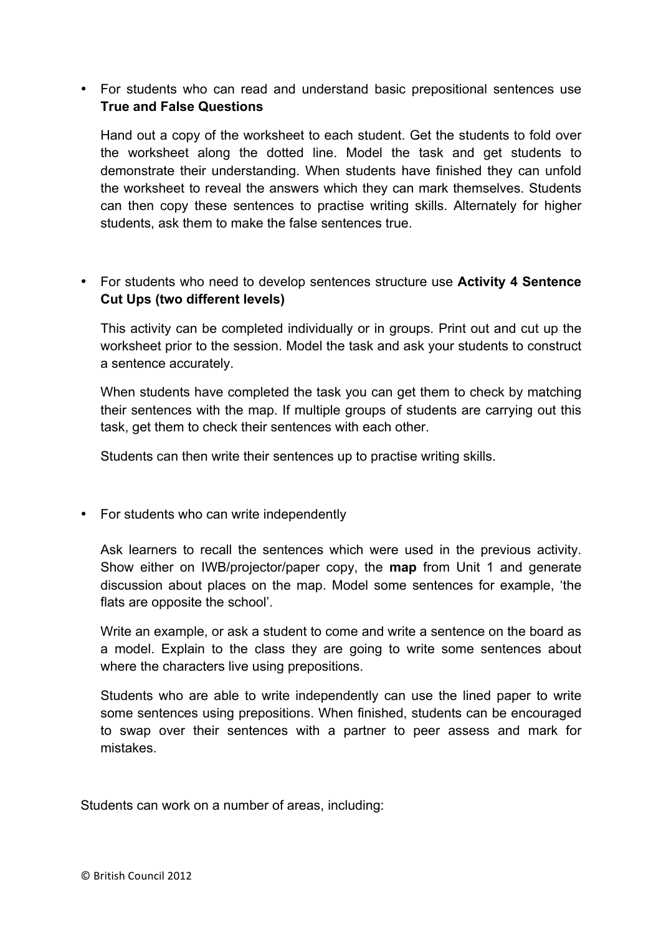• For students who can read and understand basic prepositional sentences use **True and False Questions**

Hand out a copy of the worksheet to each student. Get the students to fold over the worksheet along the dotted line. Model the task and get students to demonstrate their understanding. When students have finished they can unfold the worksheet to reveal the answers which they can mark themselves. Students can then copy these sentences to practise writing skills. Alternately for higher students, ask them to make the false sentences true.

• For students who need to develop sentences structure use **Activity 4 Sentence Cut Ups (two different levels)**

This activity can be completed individually or in groups. Print out and cut up the worksheet prior to the session. Model the task and ask your students to construct a sentence accurately.

When students have completed the task you can get them to check by matching their sentences with the map. If multiple groups of students are carrying out this task, get them to check their sentences with each other.

Students can then write their sentences up to practise writing skills.

• For students who can write independently

Ask learners to recall the sentences which were used in the previous activity. Show either on IWB/projector/paper copy, the **map** from Unit 1 and generate discussion about places on the map. Model some sentences for example, 'the flats are opposite the school'.

Write an example, or ask a student to come and write a sentence on the board as a model. Explain to the class they are going to write some sentences about where the characters live using prepositions.

Students who are able to write independently can use the lined paper to write some sentences using prepositions. When finished, students can be encouraged to swap over their sentences with a partner to peer assess and mark for mistakes.

Students can work on a number of areas, including: